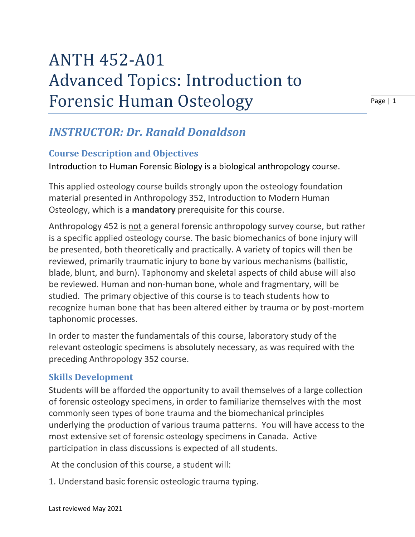## ANTH 452-A01 Advanced Topics: Introduction to Forensic Human Osteology

Page | 1

## *INSTRUCTOR: Dr. Ranald Donaldson*

## **Course Description and Objectives**

Introduction to Human Forensic Biology is a biological anthropology course.

This applied osteology course builds strongly upon the osteology foundation material presented in Anthropology 352, Introduction to Modern Human Osteology, which is a **mandatory** prerequisite for this course.

Anthropology 452 is not a general forensic anthropology survey course, but rather is a specific applied osteology course. The basic biomechanics of bone injury will be presented, both theoretically and practically. A variety of topics will then be reviewed, primarily traumatic injury to bone by various mechanisms (ballistic, blade, blunt, and burn). Taphonomy and skeletal aspects of child abuse will also be reviewed. Human and non-human bone, whole and fragmentary, will be studied. The primary objective of this course is to teach students how to recognize human bone that has been altered either by trauma or by post-mortem taphonomic processes.

In order to master the fundamentals of this course, laboratory study of the relevant osteologic specimens is absolutely necessary, as was required with the preceding Anthropology 352 course.

## **Skills Development**

Students will be afforded the opportunity to avail themselves of a large collection of forensic osteology specimens, in order to familiarize themselves with the most commonly seen types of bone trauma and the biomechanical principles underlying the production of various trauma patterns. You will have access to the most extensive set of forensic osteology specimens in Canada. Active participation in class discussions is expected of all students.

At the conclusion of this course, a student will:

1. Understand basic forensic osteologic trauma typing.